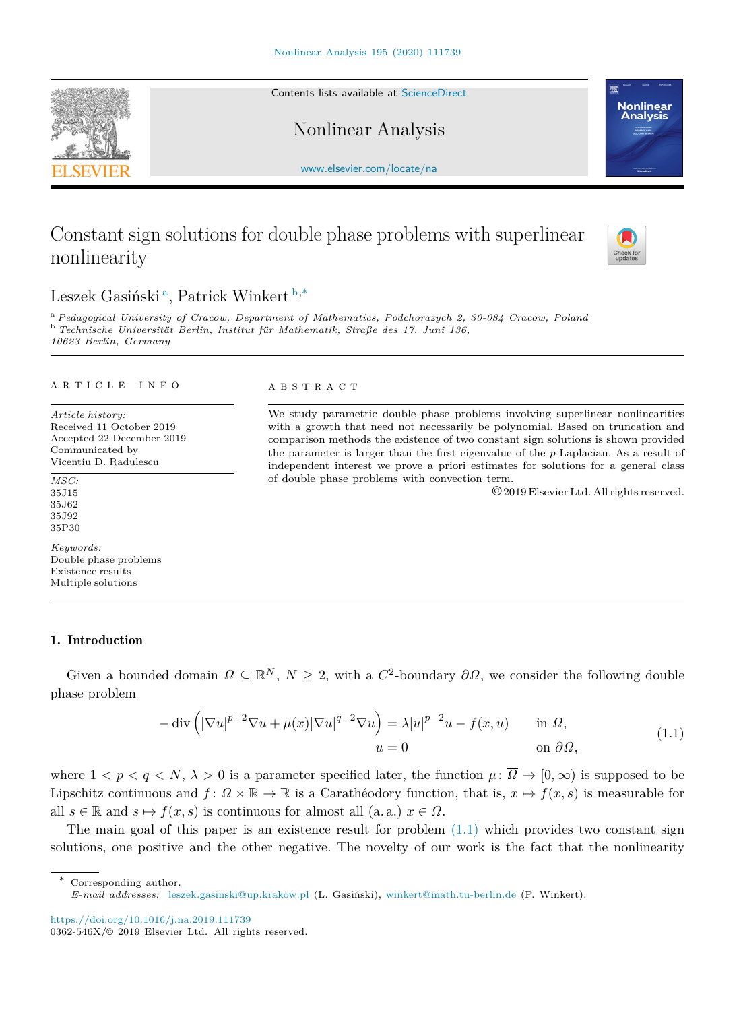Contents lists available at [ScienceDirect](http://www.elsevier.com/locate/na)

Nonlinear Analysis

[www.elsevier.com/locate/na](http://www.elsevier.com/locate/na)

# Constant sign solutions for double phase problems with superlinear nonlinearity

# Leszek G[a](#page-0-0)siński<sup>a</sup>, Patrick Winkert [b](#page-0-1),<sup>\*</sup>

<span id="page-0-1"></span><span id="page-0-0"></span><sup>a</sup> *Pedagogical University of Cracow, Department of Mathematics, Podchorazych 2, 30-084 Cracow, Poland* <sup>b</sup> *Technische Universität Berlin, Institut für Mathematik, Straße des 17. Juni 136, 10623 Berlin, Germany*

#### A R T I C L E I N F O

*Article history:* Received 11 October 2019 Accepted 22 December 2019 Communicated by Vicentiu D. Radulescu

#### *MSC:* 35J15 35J62 35J92 35P30

*Keywords:* Double phase problems Existence results Multiple solutions

## 1. Introduction

Given a bounded domain  $\Omega \subseteq \mathbb{R}^N$ ,  $N \geq 2$ , with a  $C^2$ -boundary  $\partial \Omega$ , we consider the following double phase problem

$$
-\operatorname{div}\left(|\nabla u|^{p-2}\nabla u + \mu(x)|\nabla u|^{q-2}\nabla u\right) = \lambda |u|^{p-2}u - f(x, u) \quad \text{in } \Omega,
$$
  
\n
$$
u = 0 \quad \text{on } \partial\Omega,
$$
\n(1.1)

where  $1 < p < q < N$ ,  $\lambda > 0$  is a parameter specified later, the function  $\mu: \overline{\Omega} \to [0, \infty)$  is supposed to be Lipschitz continuous and  $f: \Omega \times \mathbb{R} \to \mathbb{R}$  is a Carathéodory function, that is,  $x \mapsto f(x, s)$  is measurable for all  $s \in \mathbb{R}$  and  $s \mapsto f(x, s)$  is continuous for almost all (a. a.)  $x \in \Omega$ .

The main goal of this paper is an existence result for problem  $(1.1)$  which provides two constant sign solutions, one positive and the other negative. The novelty of our work is the fact that the nonlinearity

# $A B S T R A C T$

We study parametric double phase problems involving superlinear nonlinearities with a growth that need not necessarily be polynomial. Based on truncation and comparison methods the existence of two constant sign solutions is shown provided the parameter is larger than the first eigenvalue of the *p*-Laplacian. As a result of independent interest we prove a priori estimates for solutions for a general class of double phase problems with convection term.

<span id="page-0-3"></span>©2019 Elsevier Ltd. All rights reserved.





Check fo

<sup>∗</sup> Corresponding author.

<span id="page-0-2"></span>*E-mail addresses:* [leszek.gasinski@up.krakow.pl](mailto:leszek.gasinski@up.krakow.pl) (L. Gasiński), [winkert@math.tu-berlin.de](mailto:winkert@math.tu-berlin.de) (P. Winkert).

<https://doi.org/10.1016/j.na.2019.111739>

<sup>0362-546</sup>X/© 2019 Elsevier Ltd. All rights reserved.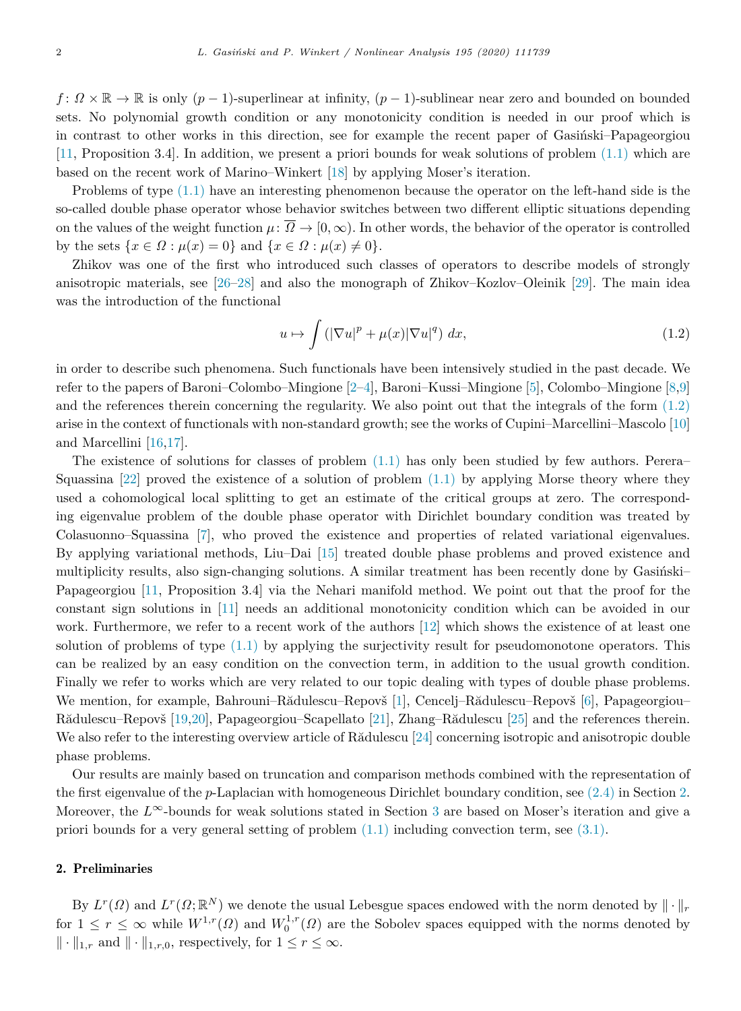*f* :  $\Omega \times \mathbb{R}$  →  $\mathbb{R}$  is only  $(p-1)$ -superlinear at infinity,  $(p-1)$ -sublinear near zero and bounded on bounded sets. No polynomial growth condition or any monotonicity condition is needed in our proof which is in contrast to other works in this direction, see for example the recent paper of Gasinski–Papageorgiou [[11,](#page-7-0) Proposition 3.4]. In addition, we present a priori bounds for weak solutions of problem [\(1.1\)](#page-0-3) which are based on the recent work of Marino–Winkert [\[18](#page-8-0)] by applying Moser's iteration.

Problems of type [\(1.1\)](#page-0-3) have an interesting phenomenon because the operator on the left-hand side is the so-called double phase operator whose behavior switches between two different elliptic situations depending on the values of the weight function  $\mu: \overline{\Omega} \to [0, \infty)$ . In other words, the behavior of the operator is controlled by the sets  $\{x \in \Omega : \mu(x) = 0\}$  and  $\{x \in \Omega : \mu(x) \neq 0\}.$ 

Zhikov was one of the first who introduced such classes of operators to describe models of strongly anisotropic materials, see [[26–](#page-8-1)[28](#page-8-2)] and also the monograph of Zhikov–Kozlov–Oleinik [[29\]](#page-8-3). The main idea was the introduction of the functional

<span id="page-1-0"></span>
$$
u \mapsto \int \left( |\nabla u|^p + \mu(x) |\nabla u|^q \right) dx, \tag{1.2}
$$

in order to describe such phenomena. Such functionals have been intensively studied in the past decade. We refer to the papers of Baroni–Colombo–Mingione [\[2](#page-7-1)[–4](#page-7-2)], Baroni–Kussi–Mingione [[5\]](#page-7-3), Colombo–Mingione [[8,](#page-7-4)[9\]](#page-7-5) and the references therein concerning the regularity. We also point out that the integrals of the form ([1.2\)](#page-1-0) arise in the context of functionals with non-standard growth; see the works of Cupini–Marcellini–Mascolo [[10\]](#page-7-6) and Marcellini [[16,](#page-8-4)[17\]](#page-8-5).

The existence of solutions for classes of problem ([1.1](#page-0-3)) has only been studied by few authors. Perera– Squassina  $[22]$  $[22]$  proved the existence of a solution of problem  $(1.1)$  by applying Morse theory where they used a cohomological local splitting to get an estimate of the critical groups at zero. The corresponding eigenvalue problem of the double phase operator with Dirichlet boundary condition was treated by Colasuonno–Squassina [\[7](#page-7-7)], who proved the existence and properties of related variational eigenvalues. By applying variational methods, Liu–Dai [[15\]](#page-8-7) treated double phase problems and proved existence and multiplicity results, also sign-changing solutions. A similar treatment has been recently done by Gasiński– Papageorgiou [[11](#page-7-0), Proposition 3.4] via the Nehari manifold method. We point out that the proof for the constant sign solutions in [[11\]](#page-7-0) needs an additional monotonicity condition which can be avoided in our work. Furthermore, we refer to a recent work of the authors [[12\]](#page-7-8) which shows the existence of at least one solution of problems of type  $(1.1)$  by applying the surjectivity result for pseudomonotone operators. This can be realized by an easy condition on the convection term, in addition to the usual growth condition. Finally we refer to works which are very related to our topic dealing with types of double phase problems. We mention, for example, Bahrouni–Rădulescu–Repovš [[1\]](#page-7-9), Cencelj–Rădulescu–Repovš [\[6](#page-7-10)], Papageorgiou– Rădulescu–Repovš [\[19](#page-8-8),[20\]](#page-8-9), Papageorgiou–Scapellato [[21\]](#page-8-10), Zhang–Rădulescu [[25](#page-8-11)] and the references therein. We also refer to the interesting overview article of R $\ddot{\text{add}}$ ulescu [[24](#page-8-12)] concerning isotropic and anisotropic double phase problems.

Our results are mainly based on truncation and comparison methods combined with the representation of the first eigenvalue of the *p*-Laplacian with homogeneous Dirichlet boundary condition, see [\(2.4\)](#page-3-0) in Section [2.](#page-1-1) Moreover, the *L*<sup>∞</sup>-bounds for weak solutions stated in Section [3](#page-4-0) are based on Moser's iteration and give a priori bounds for a very general setting of problem [\(1.1\)](#page-0-3) including convection term, see ([3.1\)](#page-4-1).

## 2. Preliminaries

<span id="page-1-1"></span>By  $L^r(\Omega)$  and  $L^r(\Omega;\mathbb{R}^N)$  we denote the usual Lebesgue spaces endowed with the norm denoted by  $\|\cdot\|_r$ for  $1 \leq r \leq \infty$  while  $W^{1,r}(\Omega)$  and  $W^{1,r}_0(\Omega)$  are the Sobolev spaces equipped with the norms denoted by  $\|\cdot\|_{1,r}$  and  $\|\cdot\|_{1,r,0}$ , respectively, for  $1 \leq r \leq \infty$ .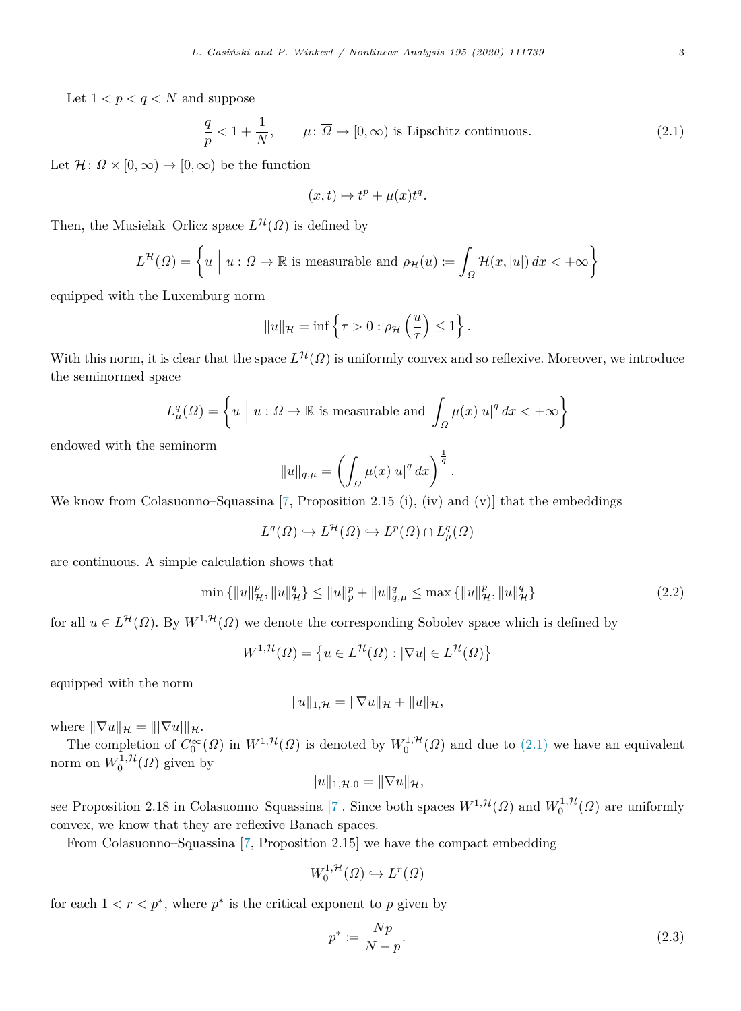Let  $1 < p < q < N$  and suppose

$$
\frac{q}{p} < 1 + \frac{1}{N}, \qquad \mu \colon \overline{\Omega} \to [0, \infty) \text{ is Lipschitz continuous.} \tag{2.1}
$$

Let  $\mathcal{H}$ :  $\Omega \times [0,\infty) \to [0,\infty)$  be the function

<span id="page-2-0"></span>
$$
(x,t)\mapsto t^p+\mu(x)t^q.
$$

Then, the Musielak–Orlicz space  $L^{\mathcal{H}}(\Omega)$  is defined by

$$
L^{\mathcal{H}}(\Omega) = \left\{ u \mid u: \Omega \to \mathbb{R} \text{ is measurable and } \rho_{\mathcal{H}}(u) := \int_{\Omega} \mathcal{H}(x, |u|) dx < +\infty \right\}
$$

equipped with the Luxemburg norm

$$
||u||_{\mathcal{H}} = \inf \left\{ \tau > 0 : \rho_{\mathcal{H}} \left( \frac{u}{\tau} \right) \leq 1 \right\}.
$$

With this norm, it is clear that the space  $L^{\mathcal{H}}(\Omega)$  is uniformly convex and so reflexive. Moreover, we introduce the seminormed space

$$
L^q_\mu(\Omega) = \left\{ u \mid u : \Omega \to \mathbb{R} \text{ is measurable and } \int_{\Omega} \mu(x) |u|^q dx < +\infty \right\}
$$

endowed with the seminorm

$$
||u||_{q,\mu} = \left(\int_{\Omega} \mu(x)|u|^q dx\right)^{\frac{1}{q}}.
$$

We know from Colasuonno–Squassina [[7,](#page-7-7) Proposition 2.15 (i), (iv) and (v)] that the embeddings

 $L^q(\Omega) \hookrightarrow L^{\mathcal{H}}(\Omega) \hookrightarrow L^p(\Omega) \cap L^q_\mu(\Omega)$ 

are continuous. A simple calculation shows that

$$
\min\left\{\|u\|_{\mathcal{H}}^p, \|u\|_{\mathcal{H}}^q\right\} \le \|u\|_{p}^p + \|u\|_{q,\mu}^q \le \max\left\{\|u\|_{\mathcal{H}}^p, \|u\|_{\mathcal{H}}^q\right\} \tag{2.2}
$$

for all  $u \in L^{\mathcal{H}}(\Omega)$ . By  $W^{1,\mathcal{H}}(\Omega)$  we denote the corresponding Sobolev space which is defined by

$$
W^{1,\mathcal{H}}(\Omega) = \left\{ u \in L^{\mathcal{H}}(\Omega) : |\nabla u| \in L^{\mathcal{H}}(\Omega) \right\}
$$

equipped with the norm

<span id="page-2-1"></span>
$$
||u||_{1,\mathcal{H}} = ||\nabla u||_{\mathcal{H}} + ||u||_{\mathcal{H}},
$$

where  $\|\nabla u\|_{\mathcal{H}} = \|\nabla u\|_{\mathcal{H}}.$ 

The completion of  $C_0^{\infty}(\Omega)$  in  $W^{1, \mathcal{H}}(\Omega)$  is denoted by  $W_0^{1, \mathcal{H}}(\Omega)$  and due to  $(2.1)$  $(2.1)$  we have an equivalent norm on  $W_0^{1,\mathcal{H}}(\Omega)$  given by

$$
||u||_{1,\mathcal{H},0} = ||\nabla u||_{\mathcal{H}},
$$

see Proposition 2.18 in Colasuonno–Squassina [\[7](#page-7-7)]. Since both spaces  $W^{1, \mathcal{H}}(\Omega)$  and  $W_0^{1, \mathcal{H}}(\Omega)$  are uniformly convex, we know that they are reflexive Banach spaces.

From Colasuonno–Squassina [[7,](#page-7-7) Proposition 2.15] we have the compact embedding

$$
W_0^{1,\mathcal{H}}(\Omega) \hookrightarrow L^r(\Omega)
$$

for each  $1 < r < p^*$ , where  $p^*$  is the critical exponent to p given by

<span id="page-2-2"></span>
$$
p^* := \frac{Np}{N - p}.\tag{2.3}
$$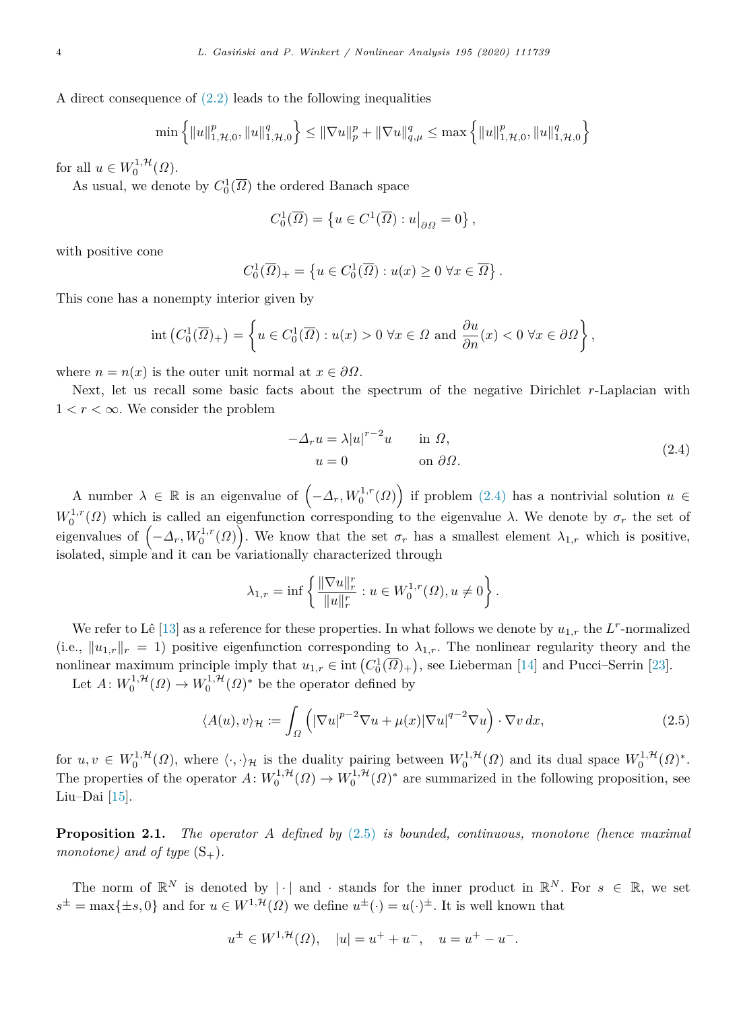A direct consequence of ([2.2](#page-2-1)) leads to the following inequalities

$$
\min\left\{\|u\|_{1,\mathcal{H},0}^p,\|u\|_{1,\mathcal{H},0}^q\right\} \le \|\nabla u\|_p^p + \|\nabla u\|_{q,\mu}^q \le \max\left\{\|u\|_{1,\mathcal{H},0}^p,\|u\|_{1,\mathcal{H},0}^q\right\}
$$

for all  $u \in W_0^{1, \mathcal{H}}(\Omega)$ .

As usual, we denote by  $C_0^1(\overline{\Omega})$  the ordered Banach space

$$
C_0^1(\overline{\Omega}) = \left\{ u \in C^1(\overline{\Omega}) : u \big|_{\partial \Omega} = 0 \right\},\,
$$

with positive cone

$$
C_0^1(\overline{\Omega})_+ = \left\{ u \in C_0^1(\overline{\Omega}) : u(x) \ge 0 \,\,\forall x \in \overline{\Omega} \right\}.
$$

This cone has a nonempty interior given by

$$
\operatorname{int}\left(C_0^1(\overline{\Omega})_+\right) = \left\{ u \in C_0^1(\overline{\Omega}) : u(x) > 0 \,\forall x \in \Omega \text{ and } \frac{\partial u}{\partial n}(x) < 0 \,\forall x \in \partial \Omega \right\},\
$$

where  $n = n(x)$  is the outer unit normal at  $x \in \partial \Omega$ .

Next, let us recall some basic facts about the spectrum of the negative Dirichlet *r*-Laplacian with  $1 < r < \infty$ . We consider the problem

<span id="page-3-0"></span>
$$
-\Delta_r u = \lambda |u|^{r-2}u \quad \text{in } \Omega,
$$
  
 
$$
u = 0 \quad \text{on } \partial\Omega.
$$
 (2.4)

A number  $\lambda \in \mathbb{R}$  is an eigenvalue of  $(-\Delta_r, W_0^{1,r}(\Omega))$  if problem  $(2.4)$  $(2.4)$  $(2.4)$  has a nontrivial solution  $u \in$  $W_0^{1,r}(\Omega)$  which is called an eigenfunction corresponding to the eigenvalue *λ*. We denote by  $\sigma_r$  the set of eigenvalues of  $(-\Delta_r, W_0^{1,r}(\Omega))$ . We know that the set  $\sigma_r$  has a smallest element  $\lambda_{1,r}$  which is positive, isolated, simple and it can be variationally characterized through

<span id="page-3-1"></span>
$$
\lambda_{1,r} = \inf \left\{ \frac{\|\nabla u\|_r^r}{\|u\|_r^r} : u \in W_0^{1,r}(\Omega), u \neq 0 \right\}.
$$

We refer to Lê [\[13](#page-7-11)] as a reference for these properties. In what follows we denote by  $u_{1,r}$  the  $L^r$ -normalized (i.e.,  $||u_{1,r}||_r = 1$ ) positive eigenfunction corresponding to  $\lambda_{1,r}$ . The nonlinear regularity theory and the nonlinear maximum principle imply that  $u_{1,r} \in \text{int}\left(C_0^1(\overline{\Omega})_+\right)$ , see Lieberman [[14\]](#page-8-13) and Pucci–Serrin [[23\]](#page-8-14).

Let  $A: W_0^{1, H}(\Omega) \to W_0^{1, H}(\Omega)^*$  be the operator defined by

$$
\langle A(u), v \rangle_{\mathcal{H}} := \int_{\Omega} \left( |\nabla u|^{p-2} \nabla u + \mu(x) |\nabla u|^{q-2} \nabla u \right) \cdot \nabla v \, dx,\tag{2.5}
$$

for  $u, v \in W_0^{1, H}(\Omega)$ , where  $\langle \cdot, \cdot \rangle_{\mathcal{H}}$  is the duality pairing between  $W_0^{1, H}(\Omega)$  and its dual space  $W_0^{1, H}(\Omega)^*$ . The properties of the operator  $A: W_0^{1, H}(\Omega) \to W_0^{1, H}(\Omega)^*$  are summarized in the following proposition, see Liu–Dai [\[15\]](#page-8-7).

**Proposition 2.1.** *The operator A defined by* ([2.5](#page-3-1)) *is bounded, continuous, monotone (hence maximal monotone)* and of type  $(S_+)$ .

The norm of  $\mathbb{R}^N$  is denoted by  $|\cdot|$  and  $\cdot$  stands for the inner product in  $\mathbb{R}^N$ . For  $s \in \mathbb{R}$ , we set  $s^{\pm} = \max\{\pm s, 0\}$  and for  $u \in W^{1, \mathcal{H}}(\Omega)$  we define  $u^{\pm}(\cdot) = u(\cdot)^{\pm}$ . It is well known that

$$
u^{\pm} \in W^{1,\mathcal{H}}(\Omega), \quad |u| = u^{+} + u^{-}, \quad u = u^{+} - u^{-}.
$$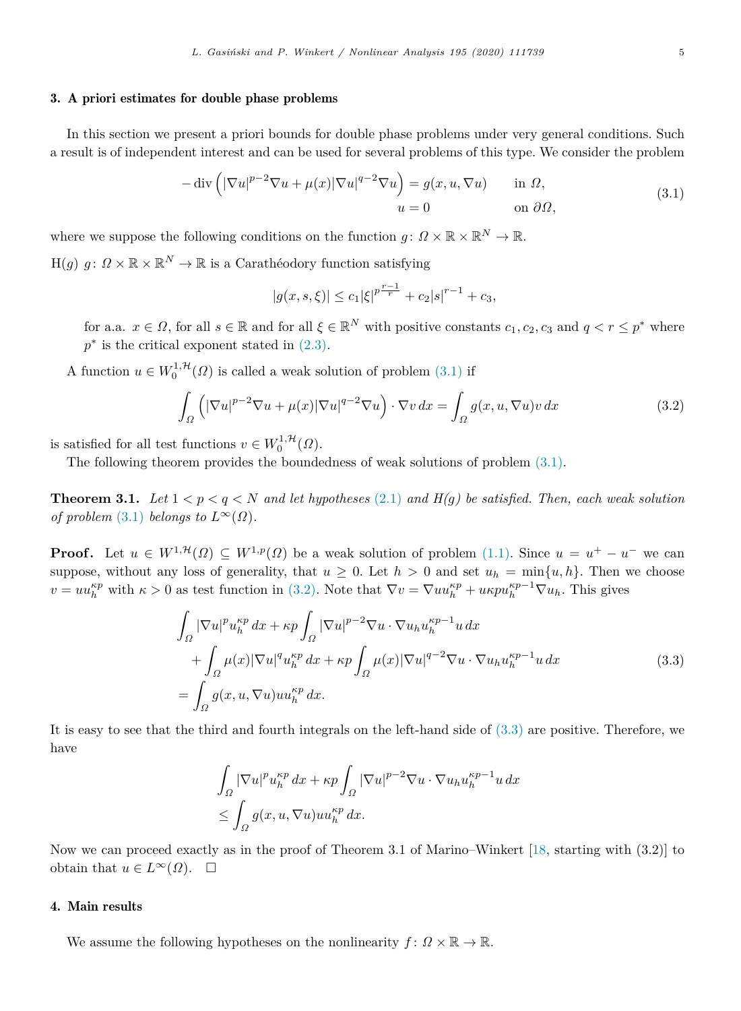## 3. A priori estimates for double phase problems

<span id="page-4-0"></span>In this section we present a priori bounds for double phase problems under very general conditions. Such a result is of independent interest and can be used for several problems of this type. We consider the problem

$$
-\operatorname{div}\left(|\nabla u|^{p-2}\nabla u + \mu(x)|\nabla u|^{q-2}\nabla u\right) = g(x, u, \nabla u) \quad \text{in } \Omega,
$$
  
\n
$$
u = 0 \quad \text{on } \partial\Omega,
$$
\n(3.1)

where we suppose the following conditions on the function  $g: \Omega \times \mathbb{R} \times \mathbb{R}^N \to \mathbb{R}$ .

 $H(g)$   $g: \Omega \times \mathbb{R} \times \mathbb{R}^N \to \mathbb{R}$  is a Carathéodory function satisfying

<span id="page-4-2"></span><span id="page-4-1"></span>
$$
|g(x,s,\xi)| \le c_1 |\xi|^{p^{\frac{r-1}{r}}} + c_2 |s|^{r-1} + c_3,
$$

for a.a.  $x \in \Omega$ , for all  $s \in \mathbb{R}$  and for all  $\xi \in \mathbb{R}^N$  with positive constants  $c_1, c_2, c_3$  and  $q < r \leq p^*$  where  $p^*$  is the critical exponent stated in  $(2.3)$  $(2.3)$  $(2.3)$ .

A function  $u \in W_0^{1,\mathcal{H}}(\Omega)$  is called a weak solution of problem [\(3.1\)](#page-4-1) if

$$
\int_{\Omega} \left( |\nabla u|^{p-2} \nabla u + \mu(x) |\nabla u|^{q-2} \nabla u \right) \cdot \nabla v \, dx = \int_{\Omega} g(x, u, \nabla u) v \, dx \tag{3.2}
$$

is satisfied for all test functions  $v \in W_0^{1, \mathcal{H}}(\Omega)$ .

The following theorem provides the boundedness of weak solutions of problem ([3.1\)](#page-4-1).

**Theorem 3.1.** *Let*  $1 < p < q < N$  *and let hypotheses* ([2.1\)](#page-2-0) *and H(q) be satisfied. Then, each weak solution of problem* [\(3.1](#page-4-1)) *belongs to*  $L^{\infty}(\Omega)$ *.* 

**Proof.** Let  $u \in W^{1,\mathcal{H}}(\Omega) \subseteq W^{1,p}(\Omega)$  be a weak solution of problem [\(1.1\)](#page-0-3). Since  $u = u^+ - u^-$  we can suppose, without any loss of generality, that  $u \geq 0$ . Let  $h > 0$  and set  $u_h = \min\{u, h\}$ . Then we choose  $v = uu_h^{\kappa p}$  with  $\kappa > 0$  as test function in ([3.2](#page-4-2)). Note that  $\nabla v = \nabla uu_h^{\kappa p} + u\kappa pu_h^{\kappa p-1} \nabla u_h$ . This gives

$$
\int_{\Omega} |\nabla u|^p u_h^{\kappa p} dx + \kappa p \int_{\Omega} |\nabla u|^{p-2} \nabla u \cdot \nabla u_h u_h^{\kappa p-1} u dx \n+ \int_{\Omega} \mu(x) |\nabla u|^q u_h^{\kappa p} dx + \kappa p \int_{\Omega} \mu(x) |\nabla u|^{q-2} \nabla u \cdot \nabla u_h u_h^{\kappa p-1} u dx \n= \int_{\Omega} g(x, u, \nabla u) u u_h^{\kappa p} dx.
$$
\n(3.3)

It is easy to see that the third and fourth integrals on the left-hand side of ([3.3\)](#page-4-3) are positive. Therefore, we have

<span id="page-4-3"></span>
$$
\int_{\Omega} |\nabla u|^p u_h^{\kappa p} dx + \kappa p \int_{\Omega} |\nabla u|^{p-2} \nabla u \cdot \nabla u_h u_h^{\kappa p-1} u dx
$$
  
\n
$$
\leq \int_{\Omega} g(x, u, \nabla u) u u_h^{\kappa p} dx.
$$

Now we can proceed exactly as in the proof of Theorem 3.1 of Marino–Winkert [\[18](#page-8-0), starting with (3.2)] to obtain that  $u \in L^{\infty}(\Omega)$ .  $\square$ 

### 4. Main results

We assume the following hypotheses on the nonlinearity  $f: \Omega \times \mathbb{R} \to \mathbb{R}$ .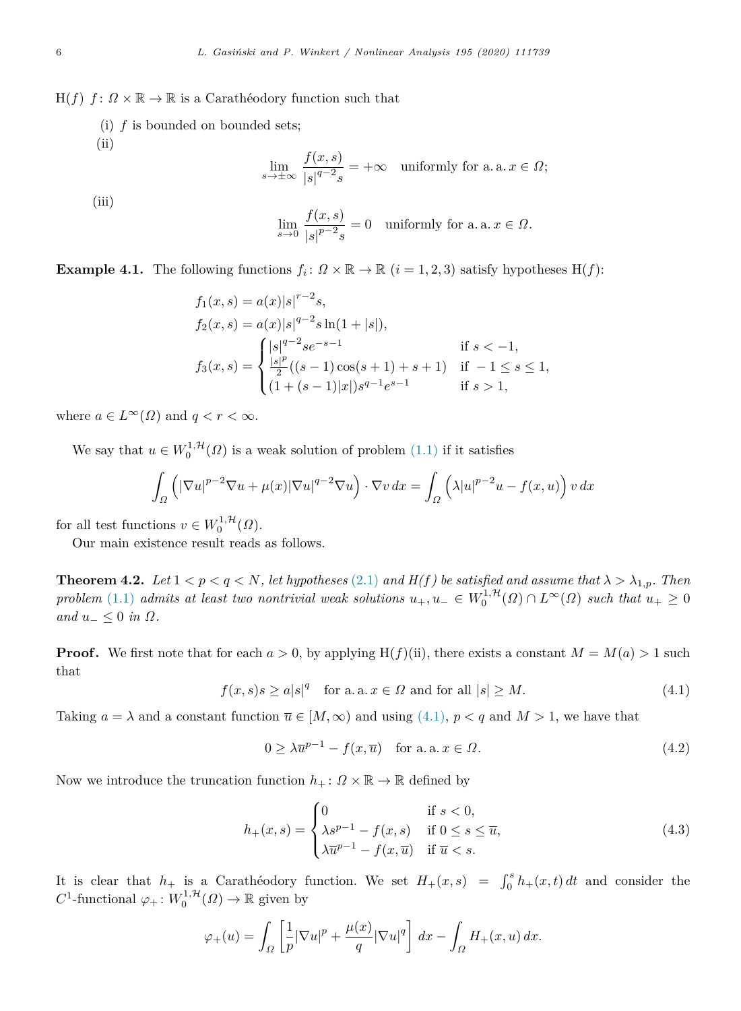$H(f)$   $f: \Omega \times \mathbb{R} \to \mathbb{R}$  is a Carathéodory function such that

(i) *f* is bounded on bounded sets;  $(ii)$ 

$$
\lim_{s \to \pm \infty} \frac{f(x, s)}{|s|^{q-2} s} = +\infty \quad \text{uniformly for a. a. } x \in \Omega;
$$

(iii)

$$
\lim_{s \to 0} \frac{f(x, s)}{|s|^{p-2} s} = 0 \quad \text{uniformly for a. a. } x \in \Omega.
$$

**Example 4.1.** The following functions  $f_i: \Omega \times \mathbb{R} \to \mathbb{R}$   $(i = 1, 2, 3)$  satisfy hypotheses  $H(f)$ :

$$
f_1(x, s) = a(x)|s|^{r-2}s,
$$
  
\n
$$
f_2(x, s) = a(x)|s|^{q-2}s\ln(1+|s|),
$$
  
\n
$$
f_3(x, s) = \begin{cases} |s|^{q-2}se^{-s-1} & \text{if } s < -1, \\ \frac{|s|^p}{2}((s-1)\cos(s+1)+s+1) & \text{if } -1 \le s \le 1, \\ (1+(s-1)|x|)s^{q-1}e^{s-1} & \text{if } s > 1, \end{cases}
$$

where  $a \in L^{\infty}(\Omega)$  and  $q < r < \infty$ .

We say that  $u \in W_0^{1, H}(\Omega)$  is a weak solution of problem [\(1.1](#page-0-3)) if it satisfies

$$
\int_{\Omega} \left( |\nabla u|^{p-2} \nabla u + \mu(x) |\nabla u|^{q-2} \nabla u \right) \cdot \nabla v \, dx = \int_{\Omega} \left( \lambda |u|^{p-2} u - f(x, u) \right) v \, dx
$$

for all test functions  $v \in W_0^{1, \mathcal{H}}(\Omega)$ .

Our main existence result reads as follows.

**Theorem 4.2.** *Let*  $1 < p < q < N$ *, let hypotheses* ([2.1\)](#page-2-0) *and*  $H(f)$  *be satisfied and assume that*  $\lambda > \lambda_{1,p}$ *. Then*  $problem (1.1)$  $problem (1.1)$  $problem (1.1)$  *admits at least two nontrivial weak solutions*  $u_+, u_- \in W_0^{1,\mathcal{H}}(\Omega) \cap L^{\infty}(\Omega)$  *such that*  $u_+ \geq 0$  $and u<sub>-</sub> \leq 0$  *in*  $\Omega$ *.* 

**Proof.** We first note that for each  $a > 0$ , by applying  $H(f)(ii)$ , there exists a constant  $M = M(a) > 1$  such that

$$
f(x,s)s \ge a|s|^q \quad \text{for a. a. } x \in \Omega \text{ and for all } |s| \ge M. \tag{4.1}
$$

Taking  $a = \lambda$  and a constant function  $\overline{u} \in [M, \infty)$  and using ([4.1](#page-5-0)),  $p < q$  and  $M > 1$ , we have that

<span id="page-5-2"></span><span id="page-5-1"></span><span id="page-5-0"></span>
$$
0 \ge \lambda \overline{u}^{p-1} - f(x, \overline{u}) \quad \text{for a. a. } x \in \Omega.
$$
\n
$$
(4.2)
$$

Now we introduce the truncation function  $h_+ : \Omega \times \mathbb{R} \to \mathbb{R}$  defined by

$$
h_{+}(x,s) = \begin{cases} 0 & \text{if } s < 0, \\ \lambda s^{p-1} - f(x,s) & \text{if } 0 \le s \le \overline{u}, \\ \lambda \overline{u}^{p-1} - f(x,\overline{u}) & \text{if } \overline{u} < s. \end{cases} \tag{4.3}
$$

It is clear that  $h_+$  is a Caratheodory function. We set  $H_+(x,s) = \int_0^s h_+(x,t) dt$  and consider the  $C^1$ -functional  $\varphi_+ : W_0^{1, \mathcal{H}}(\Omega) \to \mathbb{R}$  given by

$$
\varphi_+(u) = \int_{\Omega} \left[ \frac{1}{p} |\nabla u|^p + \frac{\mu(x)}{q} |\nabla u|^q \right] dx - \int_{\Omega} H_+(x, u) dx.
$$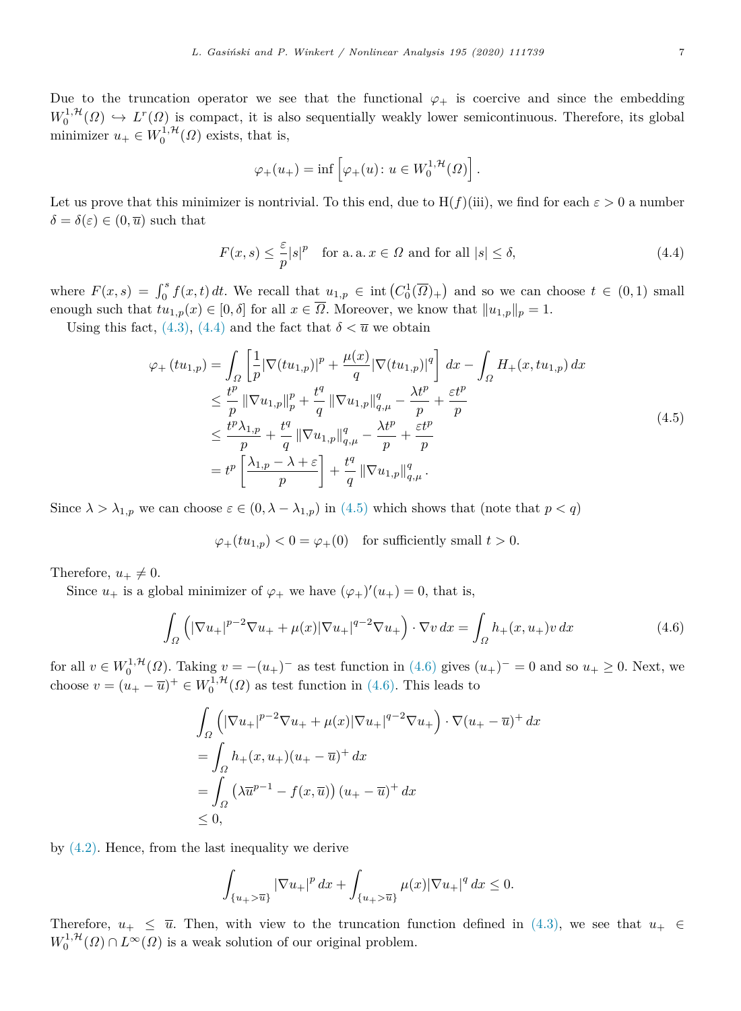Due to the truncation operator we see that the functional  $\varphi_+$  is coercive and since the embedding  $W_0^{1, H}(\Omega) \hookrightarrow L^r(\Omega)$  is compact, it is also sequentially weakly lower semicontinuous. Therefore, its global minimizer  $u_+ \in W_0^{1,\mathcal{H}}(\Omega)$  exists, that is,

<span id="page-6-0"></span>
$$
\varphi_+(u_+) = \inf \left[ \varphi_+(u) \colon u \in W_0^{1,\mathcal{H}}(\Omega) \right].
$$

Let us prove that this minimizer is nontrivial. To this end, due to H( $f$ )(iii), we find for each  $\varepsilon > 0$  a number  $\delta = \delta(\varepsilon) \in (0, \overline{u})$  such that

$$
F(x,s) \le \frac{\varepsilon}{p}|s|^p \quad \text{for a. a. } x \in \Omega \text{ and for all } |s| \le \delta,
$$
\n(4.4)

where  $F(x,s) = \int_0^s f(x,t) dt$ . We recall that  $u_{1,p} \in \text{int}(C_0^1(\overline{\Omega})_+)$  and so we can choose  $t \in (0,1)$  small enough such that  $tu_{1,p}(x) \in [0,\delta]$  for all  $x \in \overline{\Omega}$ . Moreover, we know that  $||u_{1,p}||_p = 1$ .

Using this fact, ([4.3](#page-5-1)), [\(4.4\)](#page-6-0) and the fact that  $\delta < \overline{u}$  we obtain

$$
\varphi_{+}\left(tu_{1,p}\right) = \int_{\Omega} \left[\frac{1}{p} |\nabla(tu_{1,p})|^{p} + \frac{\mu(x)}{q} |\nabla(tu_{1,p})|^{q}\right] dx - \int_{\Omega} H_{+}(x, tu_{1,p}) dx
$$
  
\n
$$
\leq \frac{t^{p}}{p} ||\nabla u_{1,p}||_{p}^{p} + \frac{t^{q}}{q} ||\nabla u_{1,p}||_{q,\mu}^{q} - \frac{\lambda t^{p}}{p} + \frac{\varepsilon t^{p}}{p}
$$
  
\n
$$
\leq \frac{t^{p}\lambda_{1,p}}{p} + \frac{t^{q}}{q} ||\nabla u_{1,p}||_{q,\mu}^{q} - \frac{\lambda t^{p}}{p} + \frac{\varepsilon t^{p}}{p}
$$
  
\n
$$
= t^{p} \left[\frac{\lambda_{1,p} - \lambda + \varepsilon}{p}\right] + \frac{t^{q}}{q} ||\nabla u_{1,p}||_{q,\mu}^{q}.
$$
\n(4.5)

Since  $\lambda > \lambda_{1,p}$  we can choose  $\varepsilon \in (0, \lambda - \lambda_{1,p})$  in [\(4.5\)](#page-6-1) which shows that (note that  $p < q$ )

<span id="page-6-2"></span><span id="page-6-1"></span>
$$
\varphi_+(tu_{1,p}) < 0 = \varphi_+(0) \quad \text{for sufficiently small } t > 0.
$$

Therefore,  $u_+ \neq 0$ .

Since  $u_+$  is a global minimizer of  $\varphi_+$  we have  $(\varphi_+)'(u_+) = 0$ , that is,

$$
\int_{\Omega} \left( |\nabla u_{+}|^{p-2} \nabla u_{+} + \mu(x) |\nabla u_{+}|^{q-2} \nabla u_{+} \right) \cdot \nabla v \, dx = \int_{\Omega} h_{+}(x, u_{+}) v \, dx \tag{4.6}
$$

for all  $v \in W_0^{1, H}(\Omega)$ . Taking  $v = -(u_+)^-$  as test function in ([4.6](#page-6-2)) gives  $(u_+)^- = 0$  and so  $u_+ \ge 0$ . Next, we choose  $v = (u_{+} - \overline{u})^{+} \in W_0^{1, \mathcal{H}}(\Omega)$  as test function in ([4.6](#page-6-2)). This leads to

$$
\int_{\Omega} \left( |\nabla u_+|^{p-2} \nabla u_+ + \mu(x) |\nabla u_+|^{q-2} \nabla u_+ \right) \cdot \nabla (u_+ - \overline{u})^+ dx
$$
\n
$$
= \int_{\Omega} h_+(x, u_+)(u_+ - \overline{u})^+ dx
$$
\n
$$
= \int_{\Omega} \left( \lambda \overline{u}^{p-1} - f(x, \overline{u}) \right) (u_+ - \overline{u})^+ dx
$$
\n
$$
\leq 0,
$$

by ([4.2](#page-5-2)). Hence, from the last inequality we derive

$$
\int_{\{u_+>\overline{u}\}} \left\vert \nabla u_+ \right\vert^p dx + \int_{\{u_+>\overline{u}\}} \mu(x) \left\vert \nabla u_+ \right\vert^q dx \leq 0.
$$

Therefore,  $u_+ \leq \overline{u}$ . Then, with view to the truncation function defined in ([4.3\)](#page-5-1), we see that  $u_+ \in$  $W_0^{1, \mathcal{H}}(\Omega) \cap L^{\infty}(\Omega)$  is a weak solution of our original problem.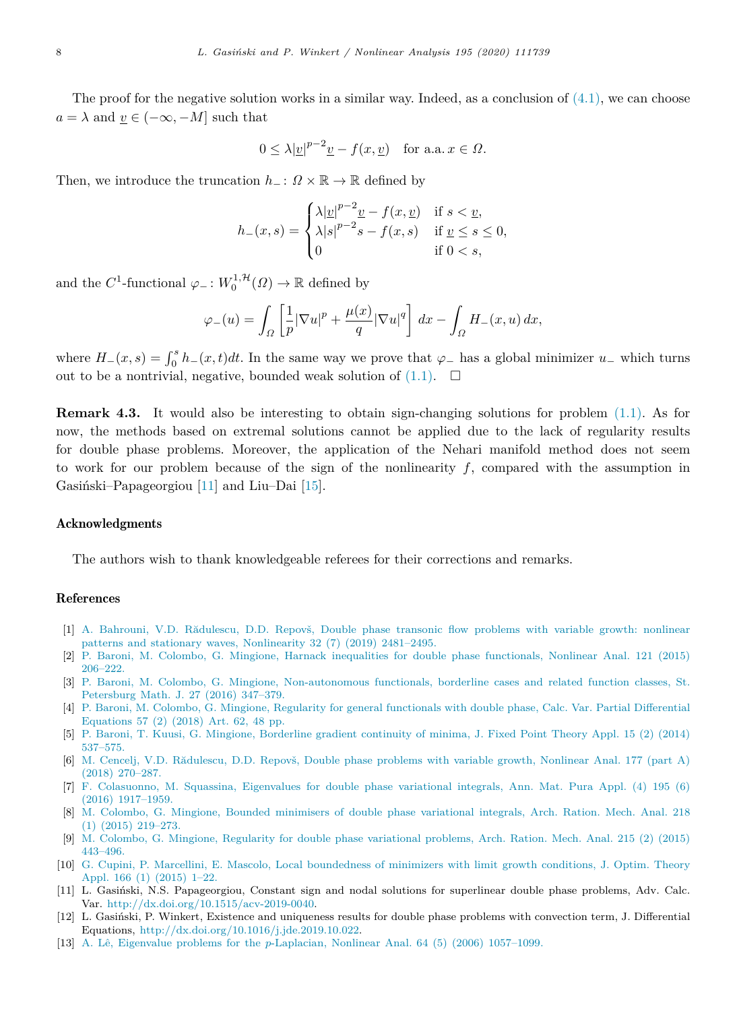The proof for the negative solution works in a similar way. Indeed, as a conclusion of  $(4.1)$  $(4.1)$ , we can choose  $a = \lambda$  and  $v \in (-\infty, -M]$  such that

$$
0 \le \lambda |\underline{v}|^{p-2} \underline{v} - f(x, \underline{v}) \quad \text{for a.a. } x \in \Omega.
$$

Then, we introduce the truncation  $h_-\colon \Omega \times \mathbb{R} \to \mathbb{R}$  defined by

$$
h_{-}(x,s) = \begin{cases} \lambda |\underline{v}|^{p-2} \underline{v} - f(x,\underline{v}) & \text{if } s < \underline{v}, \\ \lambda |s|^{p-2} s - f(x,s) & \text{if } \underline{v} \le s \le 0, \\ 0 & \text{if } 0 < s, \end{cases}
$$

and the  $C^1$ -functional  $\varphi_-\colon W_0^{1,\mathcal{H}}(\Omega) \to \mathbb{R}$  defined by

$$
\varphi_{-}(u) = \int_{\Omega} \left[ \frac{1}{p} |\nabla u|^p + \frac{\mu(x)}{q} |\nabla u|^q \right] dx - \int_{\Omega} H_{-}(x, u) dx,
$$

where  $H_-(x, s) = \int_0^s h_-(x, t)dt$ . In the same way we prove that  $\varphi$  has a global minimizer  $u_-$  which turns out to be a nontrivial, negative, bounded weak solution of  $(1.1)$  $(1.1)$  $(1.1)$ .  $\Box$ 

**Remark 4.3.** It would also be interesting to obtain sign-changing solutions for problem ([1.1\)](#page-0-3). As for now, the methods based on extremal solutions cannot be applied due to the lack of regularity results for double phase problems. Moreover, the application of the Nehari manifold method does not seem to work for our problem because of the sign of the nonlinearity *f*, compared with the assumption in Gasiński–Papageorgiou  $[11]$  $[11]$  and Liu–Dai  $[15]$  $[15]$ .

#### Acknowledgments

The authors wish to thank knowledgeable referees for their corrections and remarks.

#### References

- <span id="page-7-9"></span>[1] A. Bahrouni, V.D. Rădulescu, D.D. Repovš, Double phase transonic flow problems with variable growth: nonlinear [patterns and stationary waves, Nonlinearity 32 \(7\) \(2019\) 2481–2495.](http://refhub.elsevier.com/S0362-546X(19)30394-3/sb1)
- <span id="page-7-1"></span>[2] [P. Baroni, M. Colombo, G. Mingione, Harnack inequalities for double phase functionals, Nonlinear Anal. 121 \(2015\)](http://refhub.elsevier.com/S0362-546X(19)30394-3/sb2) [206–222.](http://refhub.elsevier.com/S0362-546X(19)30394-3/sb2)
- [3] [P. Baroni, M. Colombo, G. Mingione, Non-autonomous functionals, borderline cases and related function classes, St.](http://refhub.elsevier.com/S0362-546X(19)30394-3/sb3) [Petersburg Math. J. 27 \(2016\) 347–379.](http://refhub.elsevier.com/S0362-546X(19)30394-3/sb3)
- <span id="page-7-2"></span>[4] [P. Baroni, M. Colombo, G. Mingione, Regularity for general functionals with double phase, Calc. Var. Partial Differential](http://refhub.elsevier.com/S0362-546X(19)30394-3/sb4) [Equations 57 \(2\) \(2018\) Art. 62, 48 pp.](http://refhub.elsevier.com/S0362-546X(19)30394-3/sb4)
- <span id="page-7-3"></span>[5] [P. Baroni, T. Kuusi, G. Mingione, Borderline gradient continuity of minima, J. Fixed Point Theory Appl. 15 \(2\) \(2014\)](http://refhub.elsevier.com/S0362-546X(19)30394-3/sb5) [537–575.](http://refhub.elsevier.com/S0362-546X(19)30394-3/sb5)
- <span id="page-7-10"></span>[6] M. Cencelj, V.D. Rădulescu, D.D. Repovš, Double phase problems with variable growth, Nonlinear Anal. 177 (part A) [\(2018\) 270–287.](http://refhub.elsevier.com/S0362-546X(19)30394-3/sb6)
- <span id="page-7-7"></span>[7] [F. Colasuonno, M. Squassina, Eigenvalues for double phase variational integrals, Ann. Mat. Pura Appl. \(4\) 195 \(6\)](http://refhub.elsevier.com/S0362-546X(19)30394-3/sb7) [\(2016\) 1917–1959.](http://refhub.elsevier.com/S0362-546X(19)30394-3/sb7)
- <span id="page-7-4"></span>[8] [M. Colombo, G. Mingione, Bounded minimisers of double phase variational integrals, Arch. Ration. Mech. Anal. 218](http://refhub.elsevier.com/S0362-546X(19)30394-3/sb8) [\(1\) \(2015\) 219–273.](http://refhub.elsevier.com/S0362-546X(19)30394-3/sb8)
- <span id="page-7-5"></span>[9] [M. Colombo, G. Mingione, Regularity for double phase variational problems, Arch. Ration. Mech. Anal. 215 \(2\) \(2015\)](http://refhub.elsevier.com/S0362-546X(19)30394-3/sb9) [443–496.](http://refhub.elsevier.com/S0362-546X(19)30394-3/sb9)
- <span id="page-7-6"></span>[10] [G. Cupini, P. Marcellini, E. Mascolo, Local boundedness of minimizers with limit growth conditions, J. Optim. Theory](http://refhub.elsevier.com/S0362-546X(19)30394-3/sb10) [Appl. 166 \(1\) \(2015\) 1–22.](http://refhub.elsevier.com/S0362-546X(19)30394-3/sb10)
- <span id="page-7-0"></span>[11] L. Gasiński, N.S. Papageorgiou, Constant sign and nodal solutions for superlinear double phase problems, Adv. Calc. Var. [http://dx.doi.org/10.1515/acv-2019-0040.](http://dx.doi.org/10.1515/acv-2019-0040)
- <span id="page-7-8"></span>[12] L. Gasiński, P. Winkert, Existence and uniqueness results for double phase problems with convection term, J. Differential Equations, [http://dx.doi.org/10.1016/j.jde.2019.10.022.](http://dx.doi.org/10.1016/j.jde.2019.10.022)
- <span id="page-7-11"></span>[13] A. Lê, Eigenvalue problems for the *p*[-Laplacian, Nonlinear Anal. 64 \(5\) \(2006\) 1057–1099.](http://refhub.elsevier.com/S0362-546X(19)30394-3/sb13)